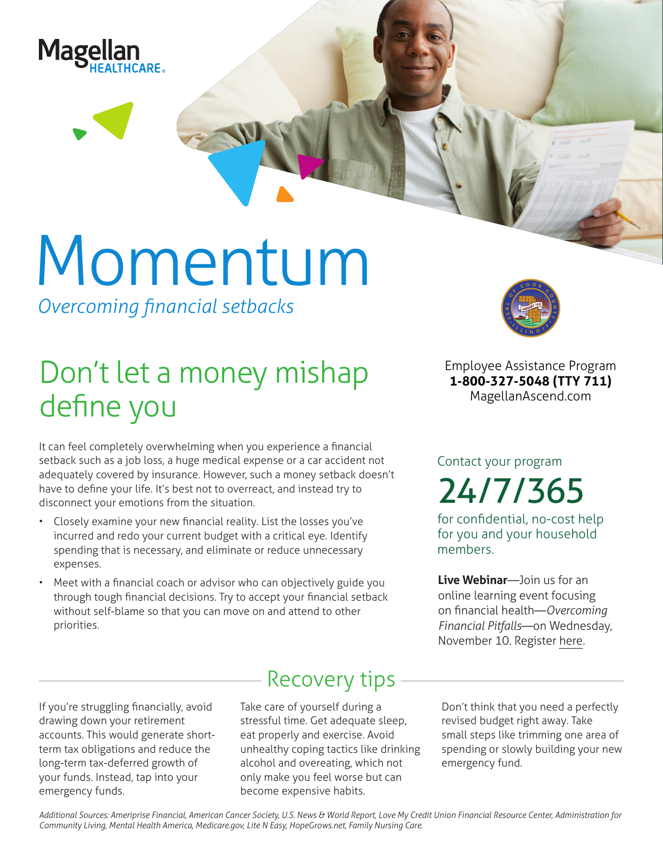

# Momentum

*Overcoming financial setbacks*

## Don't let a money mishap define you

It can feel completely overwhelming when you experience a financial setback such as a job loss, a huge medical expense or a car accident not adequately covered by insurance. However, such a money setback doesn't have to define your life. It's best not to overreact, and instead try to disconnect your emotions from the situation.

- Closely examine your new financial reality. List the losses you've incurred and redo your current budget with a critical eye. Identify spending that is necessary, and eliminate or reduce unnecessary expenses.
- Meet with a financial coach or advisor who can objectively guide you through tough financial decisions. Try to accept your financial setback without self-blame so that you can move on and attend to other priorities.



**Employee Assistance Program 1-800-327-5048 (TTY 711) MagellanAscend.com**

Contact your program 24/7/365

for confidential, no-cost help for you and your household members.

**Live Webinar**—Join us for an online learning event focusing on financial health—*Overcoming Financial Pitfalls*—on Wednesday, November 10. Register [here](https://events-na4.adobeconnect.com/content/connect/c1/825364167/en/events/event/shared/default_template_simple/event_registration.html?sco-id=1842540635&_charset_=utf-8).

If you're struggling financially, avoid drawing down your retirement accounts. This would generate shortterm tax obligations and reduce the long-term tax-deferred growth of your funds. Instead, tap into your emergency funds.

### Recovery tips

Take care of yourself during a stressful time. Get adequate sleep, eat properly and exercise. Avoid unhealthy coping tactics like drinking alcohol and overeating, which not only make you feel worse but can become expensive habits.

Don't think that you need a perfectly revised budget right away. Take small steps like trimming one area of spending or slowly building your new emergency fund.

*Additional Sources: Ameriprise Financial, American Cancer Society, U.S. News & World Report, Love My Credit Union Financial Resource Center, Administration for Community Living, Mental Health America, Medicare.gov, Lite N Easy, HopeGrows.net, Family Nursing Care.*